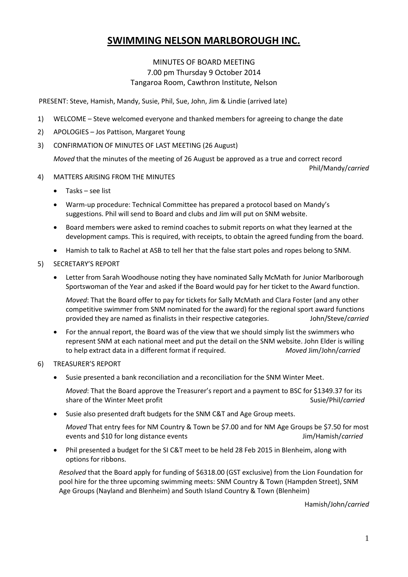# **SWIMMING NELSON MARLBOROUGH INC.**

### MINUTES OF BOARD MEETING 7.00 pm Thursday 9 October 2014 Tangaroa Room, Cawthron Institute, Nelson

PRESENT: Steve, Hamish, Mandy, Susie, Phil, Sue, John, Jim & Lindie (arrived late)

- 1) WELCOME Steve welcomed everyone and thanked members for agreeing to change the date
- 2) APOLOGIES Jos Pattison, Margaret Young
- 3) CONFIRMATION OF MINUTES OF LAST MEETING (26 August)

*Moved* that the minutes of the meeting of 26 August be approved as a true and correct record

Phil/Mandy/*carried*

- 4) MATTERS ARISING FROM THE MINUTES
	- $\bullet$  Tasks see list
	- Warm-up procedure: Technical Committee has prepared a protocol based on Mandy's suggestions. Phil will send to Board and clubs and Jim will put on SNM website.
	- Board members were asked to remind coaches to submit reports on what they learned at the development camps. This is required, with receipts, to obtain the agreed funding from the board.
	- Hamish to talk to Rachel at ASB to tell her that the false start poles and ropes belong to SNM.
- 5) SECRETARY'S REPORT
	- Letter from Sarah Woodhouse noting they have nominated Sally McMath for Junior Marlborough Sportswoman of the Year and asked if the Board would pay for her ticket to the Award function.

*Moved*: That the Board offer to pay for tickets for Sally McMath and Clara Foster (and any other competitive swimmer from SNM nominated for the award) for the regional sport award functions provided they are named as finalists in their respective categories. John/Steve/*carried*

- For the annual report, the Board was of the view that we should simply list the swimmers who represent SNM at each national meet and put the detail on the SNM website. John Elder is willing to help extract data in a different format if required. *Moved* Jim/John/*carried*
- 6) TREASURER'S REPORT
	- Susie presented a bank reconciliation and a reconciliation for the SNM Winter Meet.

*Moved*: That the Board approve the Treasurer's report and a payment to BSC for \$1349.37 for its share of the Winter Meet profit Susie/Phil/*carried* Susie/Phil/*carried* 

Susie also presented draft budgets for the SNM C&T and Age Group meets.

*Moved* That entry fees for NM Country & Town be \$7.00 and for NM Age Groups be \$7.50 for most events and \$10 for long distance events Jim/Hamish/*carried*

 Phil presented a budget for the SI C&T meet to be held 28 Feb 2015 in Blenheim, along with options for ribbons.

*Resolved* that the Board apply for funding of \$6318.00 (GST exclusive) from the Lion Foundation for pool hire for the three upcoming swimming meets: SNM Country & Town (Hampden Street), SNM Age Groups (Nayland and Blenheim) and South Island Country & Town (Blenheim)

Hamish/John/*carried*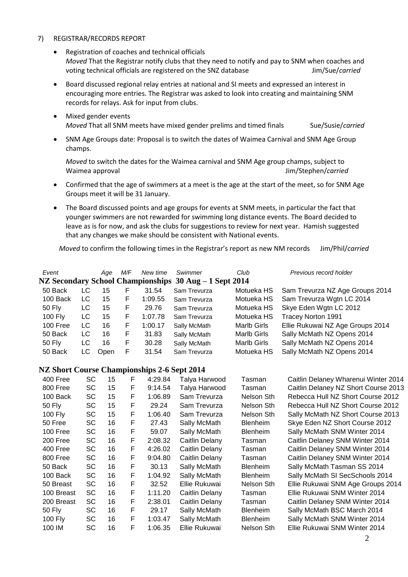#### 7) REGISTRAR/RECORDS REPORT

- Registration of coaches and technical officials *Moved* That the Registrar notify clubs that they need to notify and pay to SNM when coaches and voting technical officials are registered on the SNZ database Jim/Sue/*carried*
- Board discussed regional relay entries at national and SI meets and expressed an interest in encouraging more entries. The Registrar was asked to look into creating and maintaining SNM records for relays. Ask for input from clubs.
- Mixed gender events *Moved* That all SNM meets have mixed gender prelims and timed finals Sue/Susie/*carried*
- SNM Age Groups date: Proposal is to switch the dates of Waimea Carnival and SNM Age Group champs.

*Moved* to switch the dates for the Waimea carnival and SNM Age group champs, subject to Waimea approval Jim/Stephen/*carried*

- Confirmed that the age of swimmers at a meet is the age at the start of the meet, so for SNM Age Groups meet it will be 31 January.
- The Board discussed points and age groups for events at SNM meets, in particular the fact that younger swimmers are not rewarded for swimming long distance events. The Board decided to leave as is for now, and ask the clubs for suggestions to review for next year. Hamish suggested that any changes we make should be consistent with National events.

*Moved* to confirm the following times in the Registrar's report as new NM records Jim/Phil/*carried*

| Event         |     | Aae  | M/F | New time | Swimmer<br>NZ Secondary School Championships 30 Aug – 1 Sept 2014 | Club        | Previous record holder           |
|---------------|-----|------|-----|----------|-------------------------------------------------------------------|-------------|----------------------------------|
| 50 Back       | LC. | 15   | F   | 31.54    | Sam Trevurza                                                      | Motueka HS  | Sam Trevurza NZ Age Groups 2014  |
| 100 Back      | LC  | 15   | F   | 1:09.55  | Sam Trevurza                                                      | Motueka HS  | Sam Trevurza Wgtn LC 2014        |
| <b>50 Fly</b> | LC  | 15   | F   | 29.76    | Sam Trevurza                                                      | Motueka HS  | Skye Eden Wgtn LC 2012           |
| 100 Fly       | LC  | 15   | F   | 1:07.78  | Sam Trevurza                                                      | Motueka HS  | <b>Tracey Norton 1991</b>        |
| 100 Free      | LC  | 16   | F   | 1:00.17  | Sally McMath                                                      | Marlb Girls | Ellie Rukuwai NZ Age Groups 2014 |
| 50 Back       | LC  | 16   | F   | 31.83    | Sally McMath                                                      | Marlb Girls | Sally McMath NZ Opens 2014       |
| 50 Fly        | LC  | 16   | F   | 30.28    | Sally McMath                                                      | Marlb Girls | Sally McMath NZ Opens 2014       |
| 50 Back       | LC  | Open | F   | 31.54    | Sam Trevurza                                                      | Motueka HS  | Sally McMath NZ Opens 2014       |

#### **NZ Short Course Championships 2-6 Sept 2014**

| 400 Free      | SC        | 15 | F. | 4:29.84 | Talya Harwood  | Tasman          | Caitlin Delaney Wharenui Winter 2014 |  |
|---------------|-----------|----|----|---------|----------------|-----------------|--------------------------------------|--|
| 800 Free      | SC        | 15 | F  | 9:14.54 | Talya Harwood  | Tasman          | Caitlin Delaney NZ Short Course 2013 |  |
| 100 Back      | <b>SC</b> | 15 | F  | 1:06.89 | Sam Trevurza   | Nelson Sth      | Rebecca Hull NZ Short Course 2012    |  |
| 50 Fly        | SC        | 15 | F  | 29.24   | Sam Trevurza   | Nelson Sth      | Rebecca Hull NZ Short Course 2012    |  |
| 100 Fly       | SC        | 15 | F  | 1:06.40 | Sam Trevurza   | Nelson Sth      | Sally McMath NZ Short Course 2013    |  |
| 50 Free       | SC        | 16 | F  | 27.43   | Sally McMath   | <b>Blenheim</b> | Skye Eden NZ Short Course 2012       |  |
| 100 Free      | SC        | 16 | F  | 59.07   | Sally McMath   | <b>Blenheim</b> | Sally McMath SNM Winter 2014         |  |
| 200 Free      | SC        | 16 | F  | 2:08.32 | Caitlin Delany | Tasman          | Caitlin Delaney SNM Winter 2014      |  |
| 400 Free      | SC        | 16 | F  | 4:26.02 | Caitlin Delany | Tasman          | Caitlin Delaney SNM Winter 2014      |  |
| 800 Free      | SC        | 16 | F  | 9:04.80 | Caitlin Delany | Tasman          | Caitlin Delaney SNM Winter 2014      |  |
| 50 Back       | SC        | 16 | F  | 30.13   | Sally McMath   | <b>Blenheim</b> | Sally McMath Tasman SS 2014          |  |
| 100 Back      | SC        | 16 | F  | 1:04.92 | Sally McMath   | <b>Blenheim</b> | Sally McMath SI SecSchools 2014      |  |
| 50 Breast     | SC        | 16 | F  | 32.52   | Ellie Rukuwai  | Nelson Sth      | Ellie Rukuwai SNM Age Groups 2014    |  |
| 100 Breast    | <b>SC</b> | 16 | F  | 1:11.20 | Caitlin Delany | Tasman          | Ellie Rukuwai SNM Winter 2014        |  |
| 200 Breast    | SC        | 16 | F  | 2:38.01 | Caitlin Delany | Tasman          | Caitlin Delaney SNM Winter 2014      |  |
| <b>50 Fly</b> | SC        | 16 | F  | 29.17   | Sally McMath   | <b>Blenheim</b> | Sally McMath BSC March 2014          |  |
| 100 Fly       | SC        | 16 | F  | 1:03.47 | Sally McMath   | <b>Blenheim</b> | Sally McMath SNM Winter 2014         |  |
| 100 IM        | SC        | 16 | F  | 1:06.35 | Ellie Rukuwai  | Nelson Sth      | Ellie Rukuwai SNM Winter 2014        |  |
|               |           |    |    |         |                |                 |                                      |  |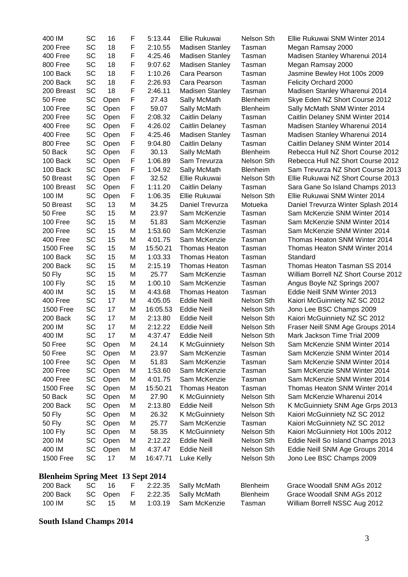| 400 IM                                   | SC        | 16   | F | 5:13.44  | Ellie Rukuwai          | Nelson Sth      | Ellie Rukuwai SNM Winter 2014        |  |
|------------------------------------------|-----------|------|---|----------|------------------------|-----------------|--------------------------------------|--|
| 200 Free                                 | SC        | 18   | F | 2:10.55  | <b>Madisen Stanley</b> | Tasman          | Megan Ramsay 2000                    |  |
| 400 Free                                 | SC        | 18   | F | 4:25.46  | <b>Madisen Stanley</b> | Tasman          | Madisen Stanley Wharenui 2014        |  |
| 800 Free                                 | SC        | 18   | F | 9:07.62  | <b>Madisen Stanley</b> | Tasman          | Megan Ramsay 2000                    |  |
| 100 Back                                 | SC        | 18   | F | 1:10.26  | Cara Pearson           | Tasman          | Jasmine Bewley Hot 100s 2009         |  |
| 200 Back                                 | SC        | 18   | F | 2:26.93  | Cara Pearson           | Tasman          | Felicity Orchard 2000                |  |
| 200 Breast                               | SC        | 18   | F | 2:46.11  | <b>Madisen Stanley</b> | Tasman          | Madisen Stanley Wharenui 2014        |  |
| 50 Free                                  | SC        | Open | F | 27.43    | Sally McMath           | Blenheim        | Skye Eden NZ Short Course 2012       |  |
| 100 Free                                 | SC        | Open | F | 59.07    | Sally McMath           | <b>Blenheim</b> | Sally McMath SNM Winter 2014         |  |
| 200 Free                                 | SC        | Open | F | 2:08.32  | Caitlin Delany         | Tasman          | Caitlin Delaney SNM Winter 2014      |  |
| 400 Free                                 | SC        | Open | F | 4:26.02  | Caitlin Delaney        | Tasman          | Madisen Stanley Wharenui 2014        |  |
| 400 Free                                 | SC        | Open | F | 4:25.46  | <b>Madisen Stanley</b> | Tasman          | Madisen Stanley Wharenui 2014        |  |
| 800 Free                                 | SC        | Open | F | 9:04.80  | Caitlin Delany         | Tasman          | Caitlin Delaney SNM Winter 2014      |  |
| 50 Back                                  | SC        | Open | F | 30.13    | Sally McMath           | <b>Blenheim</b> | Rebecca Hull NZ Short Course 2012    |  |
| 100 Back                                 | SC        | Open | F | 1:06.89  | Sam Trevurza           | Nelson Sth      | Rebecca Hull NZ Short Course 2012    |  |
| 100 Back                                 | SC        | Open | F | 1:04.92  | Sally McMath           | <b>Blenheim</b> | Sam Trevurza NZ Short Course 2013    |  |
| 50 Breast                                | SC        | Open | F | 32.52    | Ellie Rukuwai          | Nelson Sth      | Ellie Rukuwai NZ Short Course 2013   |  |
| 100 Breast                               | SC        | Open | F | 1:11.20  | Caitlin Delany         | Tasman          | Sara Gane So Island Champs 2013      |  |
| 100 IM                                   | SC        | Open | F | 1:06.35  | Ellie Rukuwai          | Nelson Sth      | Ellie Rukuwai SNM Winter 2014        |  |
| 50 Breast                                | SC        | 13   | M | 34.25    | Daniel Trevurza        | Motueka         | Daniel Trevurza Winter Splash 2014   |  |
| 50 Free                                  | SC        | 15   | M | 23.97    | Sam McKenzie           | Tasman          | Sam McKenzie SNM Winter 2014         |  |
| 100 Free                                 | SC        | 15   | M | 51.83    | Sam McKenzie           | Tasman          | Sam McKenzie SNM Winter 2014         |  |
| 200 Free                                 | SC        | 15   | M | 1:53.60  | Sam McKenzie           | Tasman          | Sam McKenzie SNM Winter 2014         |  |
| 400 Free                                 | SC        | 15   | M | 4:01.75  | Sam McKenzie           | Tasman          | Thomas Heaton SNM Winter 2014        |  |
| <b>1500 Free</b>                         | SC        | 15   | M | 15:50.21 | <b>Thomas Heaton</b>   | Tasman          | Thomas Heaton SNM Winter 2014        |  |
| 100 Back                                 | SC        | 15   | М | 1:03.33  | <b>Thomas Heaton</b>   | Tasman          | Standard                             |  |
| 200 Back                                 | SC        | 15   | м | 2:15.19  | <b>Thomas Heaton</b>   | Tasman          | Thomas Heaton Tasman SS 2014         |  |
| 50 Fly                                   | SC        | 15   | M | 25.77    | Sam McKenzie           | Tasman          | William Borrell NZ Short Course 2012 |  |
| 100 Fly                                  | SC        | 15   | M | 1:00.10  | Sam McKenzie           | Tasman          | Angus Boyle NZ Springs 2007          |  |
| 400 IM                                   | SC        | 15   | M | 4:43.68  | <b>Thomas Heaton</b>   | Tasman          | Eddie Neill SNM Winter 2013          |  |
| 400 Free                                 | SC        | 17   | M | 4:05.05  | <b>Eddie Neill</b>     | Nelson Sth      | Kaiori McGuinniety NZ SC 2012        |  |
| <b>1500 Free</b>                         | SC        | 17   | M | 16:05.53 | <b>Eddie Neill</b>     | Nelson Sth      | Jono Lee BSC Champs 2009             |  |
| 200 Back                                 | SC        | 17   | M | 2:13.80  | Eddie Neill            | Nelson Sth      | Kaiori McGuinniety NZ SC 2012        |  |
| 200 IM                                   | SC        | 17   | М | 2:12.22  | Eddie Neill            | Nelson Sth      | Fraser Neill SNM Age Groups 2014     |  |
| 400 IM                                   | SC        | 17   | М | 4:37.47  | <b>Eddie Neill</b>     | Nelson Sth      | Mark Jackson Time Trial 2009         |  |
| 50 Free                                  | SC        | Open | M | 24.14    | <b>K</b> McGuinniety   | Nelson Sth      | Sam McKenzie SNM Winter 2014         |  |
| 50 Free                                  | SC        | Open | M | 23.97    | Sam McKenzie           | Tasman          | Sam McKenzie SNM Winter 2014         |  |
| 100 Free                                 | SC        | Open | M | 51.83    | Sam McKenzie           | Tasman          | Sam McKenzie SNM Winter 2014         |  |
| 200 Free                                 | SC        | Open | M | 1:53.60  | Sam McKenzie           | Tasman          | Sam McKenzie SNM Winter 2014         |  |
| 400 Free                                 | SC        | Open | M | 4:01.75  | Sam McKenzie           | Tasman          | Sam McKenzie SNM Winter 2014         |  |
| <b>1500 Free</b>                         | SC        | Open | M | 15:50.21 | Thomas Heaton          | Tasman          | Thomas Heaton SNM Winter 2014        |  |
| 50 Back                                  | SC        | Open | м | 27.90    | <b>K McGuinniety</b>   | Nelson Sth      | Sam McKenzie Wharenui 2014           |  |
| 200 Back                                 | SC        | Open | M | 2:13.80  | <b>Eddie Neill</b>     | Nelson Sth      | K McGuinniety SNM Age Grps 2013      |  |
| <b>50 Fly</b>                            | SC        | Open | M | 26.32    | <b>K McGuinniety</b>   | Nelson Sth      | Kaiori McGuinniety NZ SC 2012        |  |
| 50 Fly                                   | SC        | Open | M | 25.77    | Sam McKenzie           | Tasman          | Kaiori McGuinniety NZ SC 2012        |  |
| 100 Fly                                  | SC        | Open | M | 58.35    | <b>K McGuinniety</b>   | Nelson Sth      | Kaiori McGuinniety Hot 100s 2012     |  |
| 200 IM                                   | SC        | Open | M | 2:12.22  | <b>Eddie Neill</b>     | Nelson Sth      | Eddie Neill So Island Champs 2013    |  |
| 400 IM                                   | SC        | Open | M | 4:37.47  | <b>Eddie Neill</b>     | Nelson Sth      | Eddie Neill SNM Age Groups 2014      |  |
| 1500 Free                                | SC        | 17   | Μ | 16:47.71 | Luke Kelly             | Nelson Sth      | Jono Lee BSC Champs 2009             |  |
| <b>Blenheim Spring Meet 13 Sept 2014</b> |           |      |   |          |                        |                 |                                      |  |
| 200 Back                                 | <b>SC</b> | 16   | F | 2:22.35  | Sally McMath           | <b>Blenheim</b> | Grace Woodall SNM AGs 2012           |  |
| 200 Back                                 | SC        | Open | F | 2:22.35  | Sally McMath           | Blenheim        | Grace Woodall SNM AGs 2012           |  |
| 100 IM                                   | SC        | 15   | М | 1:03.19  | Sam McKenzie           | Tasman          | William Borrell NSSC Aug 2012        |  |

## **South Island Champs 2014**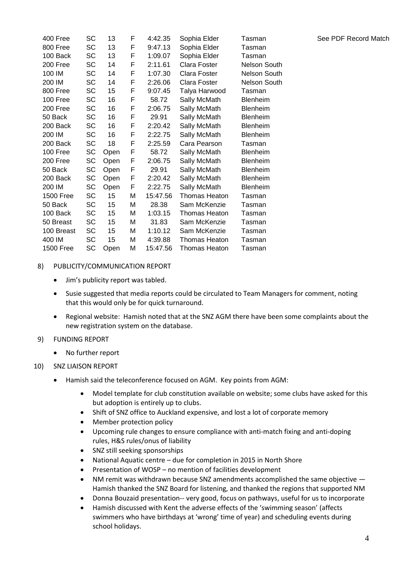| 400 Free         | SC | 13   | F | 4:42.35  | Sophia Elder         | Tasman              |
|------------------|----|------|---|----------|----------------------|---------------------|
| 800 Free         | SC | 13   | F | 9:47.13  | Sophia Elder         | Tasman              |
| 100 Back         | SC | 13   | F | 1:09.07  | Sophia Elder         | Tasman              |
| 200 Free         | SC | 14   | F | 2:11.61  | Clara Foster         | Nelson South        |
| 100 IM           | SC | 14   | F | 1:07.30  | Clara Foster         | <b>Nelson South</b> |
| 200 IM           | SC | 14   | F | 2:26.06  | Clara Foster         | Nelson South        |
| 800 Free         | SC | 15   | F | 9:07.45  | Talya Harwood        | Tasman              |
| 100 Free         | SC | 16   | F | 58.72    | Sally McMath         | Blenheim            |
| 200 Free         | SC | 16   | F | 2:06.75  | Sally McMath         | Blenheim            |
| 50 Back          | SC | 16   | F | 29.91    | Sally McMath         | Blenheim            |
| 200 Back         | SC | 16   | F | 2:20.42  | Sally McMath         | Blenheim            |
| 200 IM           | SC | 16   | F | 2:22.75  | Sally McMath         | Blenheim            |
| 200 Back         | SC | 18   | F | 2:25.59  | Cara Pearson         | Tasman              |
| 100 Free         | SC | Open | F | 58.72    | Sally McMath         | Blenheim            |
| 200 Free         | SC | Open | F | 2:06.75  | Sally McMath         | Blenheim            |
| 50 Back          | SC | Open | F | 29.91    | Sally McMath         | Blenheim            |
| 200 Back         | SC | Open | F | 2:20.42  | Sally McMath         | <b>Blenheim</b>     |
| 200 IM           | SC | Open | F | 2:22.75  | Sally McMath         | Blenheim            |
| <b>1500 Free</b> | SC | 15   | Μ | 15:47.56 | <b>Thomas Heaton</b> | Tasman              |
| 50 Back          | SC | 15   | M | 28.38    | Sam McKenzie         | Tasman              |
| 100 Back         | SC | 15   | Μ | 1:03.15  | Thomas Heaton        | Tasman              |
| 50 Breast        | SC | 15   | Μ | 31.83    | Sam McKenzie         | Tasman              |
| 100 Breast       | SC | 15   | М | 1:10.12  | Sam McKenzie         | Tasman              |
| 400 IM           | SC | 15   | Μ | 4:39.88  | Thomas Heaton        | Tasman              |
| <b>1500 Free</b> | SC | Open | М | 15:47.56 | <b>Thomas Heaton</b> | Tasman              |

#### 8) PUBLICITY/COMMUNICATION REPORT

- Jim's publicity report was tabled.
- Susie suggested that media reports could be circulated to Team Managers for comment, noting that this would only be for quick turnaround.
- Regional website: Hamish noted that at the SNZ AGM there have been some complaints about the new registration system on the database.
- 9) FUNDING REPORT
	- No further report

#### 10) SNZ LIAISON REPORT

- Hamish said the teleconference focused on AGM. Key points from AGM:
	- Model template for club constitution available on website; some clubs have asked for this but adoption is entirely up to clubs.
	- Shift of SNZ office to Auckland expensive, and lost a lot of corporate memory
	- Member protection policy
	- Upcoming rule changes to ensure compliance with anti-match fixing and anti-doping rules, H&S rules/onus of liability
	- SNZ still seeking sponsorships
	- National Aquatic centre due for completion in 2015 in North Shore
	- Presentation of WOSP no mention of facilities development
	- NM remit was withdrawn because SNZ amendments accomplished the same objective Hamish thanked the SNZ Board for listening, and thanked the regions that supported NM
	- Donna Bouzaid presentation-- very good, focus on pathways, useful for us to incorporate
	- Hamish discussed with Kent the adverse effects of the 'swimming season' (affects swimmers who have birthdays at 'wrong' time of year) and scheduling events during school holidays.

See PDF Record Match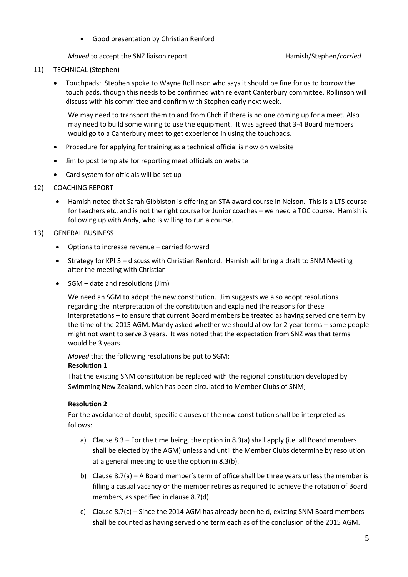Good presentation by Christian Renford

*Moved* to accept the SNZ liaison report **Hamish**/Stephen/*carried* 

#### 11) TECHNICAL (Stephen)

 Touchpads: Stephen spoke to Wayne Rollinson who says it should be fine for us to borrow the touch pads, though this needs to be confirmed with relevant Canterbury committee. Rollinson will discuss with his committee and confirm with Stephen early next week.

We may need to transport them to and from Chch if there is no one coming up for a meet. Also may need to build some wiring to use the equipment. It was agreed that 3-4 Board members would go to a Canterbury meet to get experience in using the touchpads.

- Procedure for applying for training as a technical official is now on website
- Jim to post template for reporting meet officials on website
- Card system for officials will be set up

#### 12) COACHING REPORT

 Hamish noted that Sarah Gibbiston is offering an STA award course in Nelson. This is a LTS course for teachers etc. and is not the right course for Junior coaches – we need a TOC course. Hamish is following up with Andy, who is willing to run a course.

#### 13) GENERAL BUSINESS

- Options to increase revenue carried forward
- Strategy for KPI 3 discuss with Christian Renford. Hamish will bring a draft to SNM Meeting after the meeting with Christian
- SGM date and resolutions (Jim)

We need an SGM to adopt the new constitution. Jim suggests we also adopt resolutions regarding the interpretation of the constitution and explained the reasons for these interpretations – to ensure that current Board members be treated as having served one term by the time of the 2015 AGM. Mandy asked whether we should allow for 2 year terms – some people might not want to serve 3 years. It was noted that the expectation from SNZ was that terms would be 3 years.

*Moved* that the following resolutions be put to SGM:

#### **Resolution 1**

That the existing SNM constitution be replaced with the regional constitution developed by Swimming New Zealand, which has been circulated to Member Clubs of SNM;

#### **Resolution 2**

For the avoidance of doubt, specific clauses of the new constitution shall be interpreted as follows:

- a) Clause 8.3 For the time being, the option in 8.3(a) shall apply (i.e. all Board members shall be elected by the AGM) unless and until the Member Clubs determine by resolution at a general meeting to use the option in 8.3(b).
- b) Clause 8.7(a) A Board member's term of office shall be three years unless the member is filling a casual vacancy or the member retires as required to achieve the rotation of Board members, as specified in clause 8.7(d).
- c) Clause 8.7(c) Since the 2014 AGM has already been held, existing SNM Board members shall be counted as having served one term each as of the conclusion of the 2015 AGM.